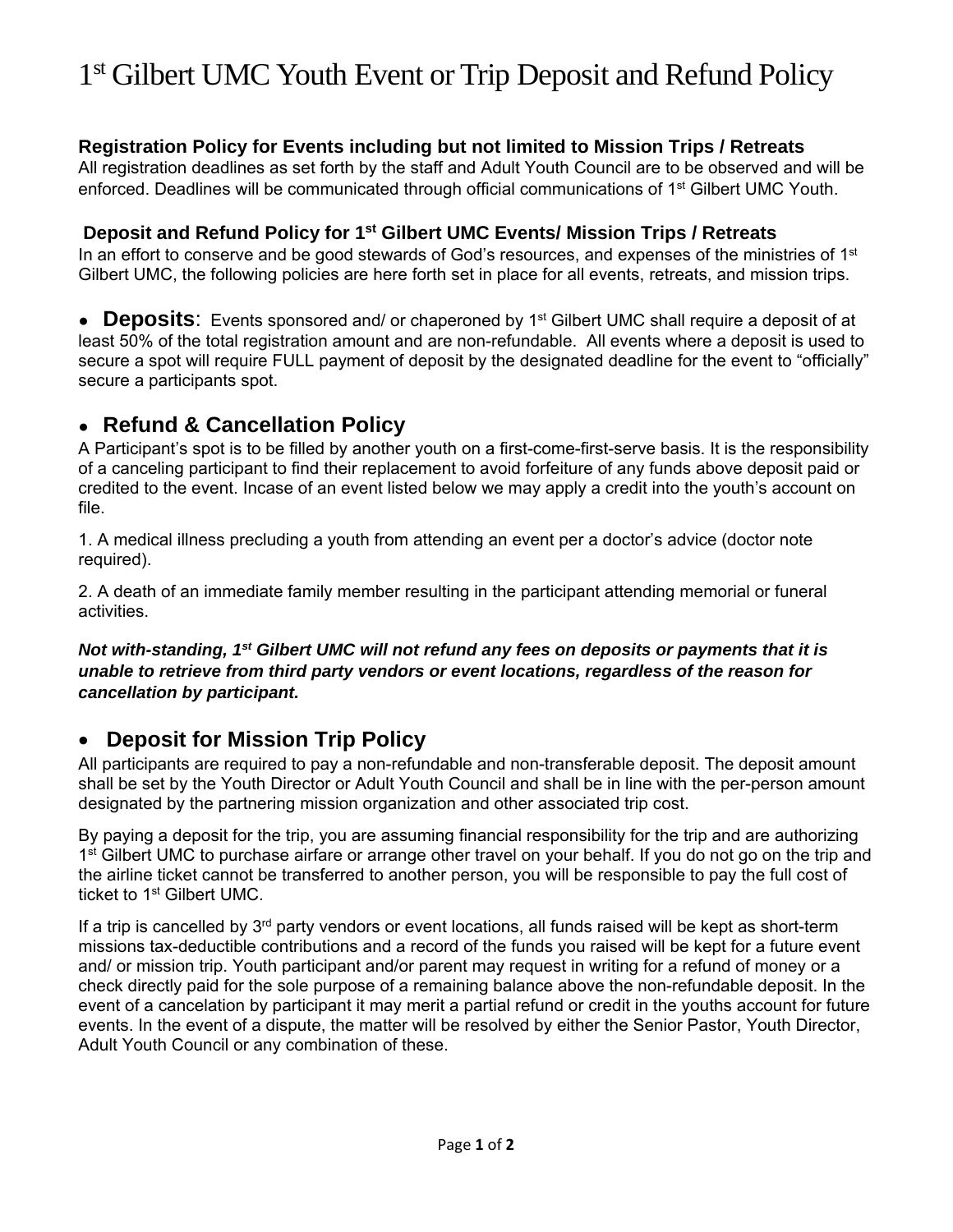# 1<sup>st</sup> Gilbert UMC Youth Event or Trip Deposit and Refund Policy

### **Registration Policy for Events including but not limited to Mission Trips / Retreats**

All registration deadlines as set forth by the staff and Adult Youth Council are to be observed and will be enforced. Deadlines will be communicated through official communications of 1st Gilbert UMC Youth.

#### **Deposit and Refund Policy for 1st Gilbert UMC Events/ Mission Trips / Retreats**

In an effort to conserve and be good stewards of God's resources, and expenses of the ministries of  $1<sup>st</sup>$ Gilbert UMC, the following policies are here forth set in place for all events, retreats, and mission trips.

● **Deposits**: Events sponsored and/ or chaperoned by 1<sup>st</sup> Gilbert UMC shall require a deposit of at least 50% of the total registration amount and are non-refundable. All events where a deposit is used to secure a spot will require FULL payment of deposit by the designated deadline for the event to "officially" secure a participants spot.

## ● **Refund & Cancellation Policy**

A Participant's spot is to be filled by another youth on a first-come-first-serve basis. It is the responsibility of a canceling participant to find their replacement to avoid forfeiture of any funds above deposit paid or credited to the event. Incase of an event listed below we may apply a credit into the youth's account on file.

1. A medical illness precluding a youth from attending an event per a doctor's advice (doctor note required).

2. A death of an immediate family member resulting in the participant attending memorial or funeral activities.

#### *Not with-standing, 1st Gilbert UMC will not refund any fees on deposits or payments that it is unable to retrieve from third party vendors or event locations, regardless of the reason for cancellation by participant.*

### **Deposit for Mission Trip Policy**

All participants are required to pay a non-refundable and non-transferable deposit. The deposit amount shall be set by the Youth Director or Adult Youth Council and shall be in line with the per-person amount designated by the partnering mission organization and other associated trip cost.

By paying a deposit for the trip, you are assuming financial responsibility for the trip and are authorizing 1<sup>st</sup> Gilbert UMC to purchase airfare or arrange other travel on your behalf. If you do not go on the trip and the airline ticket cannot be transferred to another person, you will be responsible to pay the full cost of ticket to 1<sup>st</sup> Gilbert UMC.

If a trip is cancelled by  $3<sup>rd</sup>$  party vendors or event locations, all funds raised will be kept as short-term missions tax-deductible contributions and a record of the funds you raised will be kept for a future event and/ or mission trip. Youth participant and/or parent may request in writing for a refund of money or a check directly paid for the sole purpose of a remaining balance above the non-refundable deposit. In the event of a cancelation by participant it may merit a partial refund or credit in the youths account for future events. In the event of a dispute, the matter will be resolved by either the Senior Pastor, Youth Director, Adult Youth Council or any combination of these.